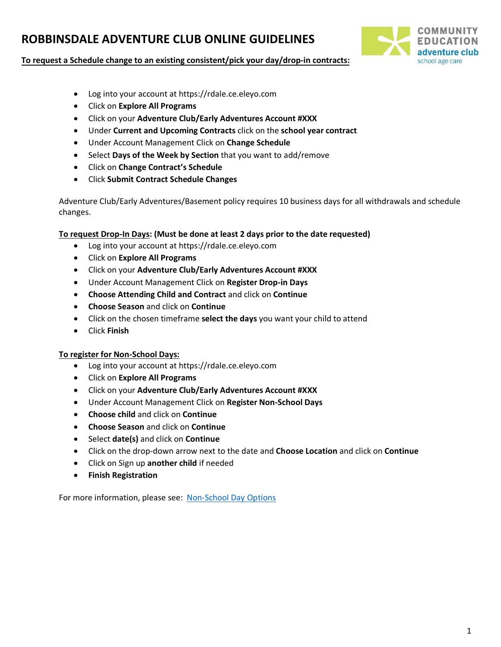# **ROBBINSDALE ADVENTURE CLUB ONLINE GUIDELINES**



#### **To request a Schedule change to an existing consistent/pick your day/drop-in contracts:**

- Log into your account at https://rdale.ce.eleyo.com
- Click on **Explore All Programs**
- Click on your **Adventure Club/Early Adventures Account #XXX**
- Under **Current and Upcoming Contracts** click on the **school year contract**
- Under Account Management Click on **Change Schedule**
- Select **Days of the Week by Section** that you want to add/remove
- Click on **Change Contract's Schedule**
- Click **Submit Contract Schedule Changes**

Adventure Club/Early Adventures/Basement policy requires 10 business days for all withdrawals and schedule changes.

## **To request Drop-In Days: (Must be done at least 2 days prior to the date requested)**

- Log into your account at https://rdale.ce.eleyo.com
- Click on **Explore All Programs**
- Click on your **Adventure Club/Early Adventures Account #XXX**
- Under Account Management Click on **Register Drop-in Days**
- **Choose Attending Child and Contract** and click on **Continue**
- **Choose Season** and click on **Continue**
- Click on the chosen timeframe **select the days** you want your child to attend
- Click **Finish**

## **To register for Non-School Days:**

- Log into your account at https://rdale.ce.eleyo.com
- Click on **Explore All Programs**
- Click on your **Adventure Club/Early Adventures Account #XXX**
- Under Account Management Click on **Register Non-School Days**
- **Choose child** and click on **Continue**
- **Choose Season** and click on **Continue**
- Select **date(s)** and click on **Continue**
- Click on the drop-down arrow next to the date and **Choose Location** and click on **Continue**
- Click on Sign up **another child** if needed
- **Finish Registration**

For more information, please see: [Non-School Day](https://docs.google.com/document/d/1udGIBN1K2GBgpOesemRf7Trr2Jxej9g7iPYxzXPlDc8/edit?usp=sharing) Options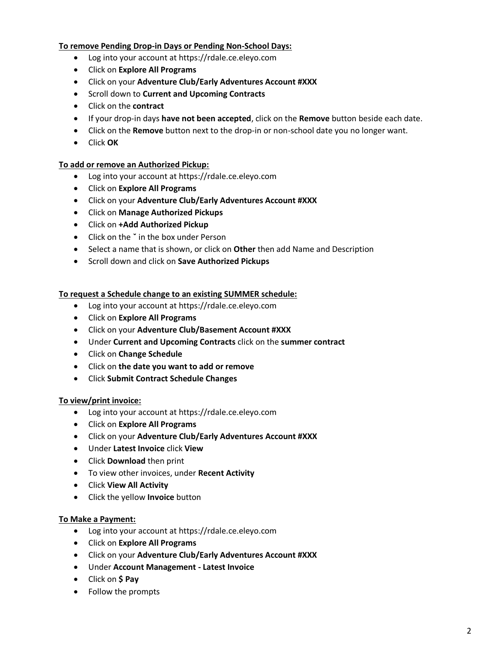#### **To remove Pending Drop-in Days or Pending Non-School Days:**

- Log into your account at https://rdale.ce.eleyo.com
- Click on **Explore All Programs**
- Click on your **Adventure Club/Early Adventures Account #XXX**
- Scroll down to **Current and Upcoming Contracts**
- Click on the **contract**
- If your drop-in days **have not been accepted**, click on the **Remove** button beside each date.
- Click on the **Remove** button next to the drop-in or non-school date you no longer want.
- Click **OK**

#### **To add or remove an Authorized Pickup:**

- Log into your account at https://rdale.ce.eleyo.com
- Click on **Explore All Programs**
- Click on your **Adventure Club/Early Adventures Account #XXX**
- Click on **Manage Authorized Pickups**
- Click on **+Add Authorized Pickup**
- Click on the **ˇ** in the box under Person
- Select a name that is shown, or click on **Other** then add Name and Description
- Scroll down and click on **Save Authorized Pickups**

#### **To request a Schedule change to an existing SUMMER schedule:**

- Log into your account at https://rdale.ce.eleyo.com
- Click on **Explore All Programs**
- Click on your **Adventure Club/Basement Account #XXX**
- Under **Current and Upcoming Contracts** click on the **summer contract**
- Click on **Change Schedule**
- Click on **the date you want to add or remove**
- Click **Submit Contract Schedule Changes**

#### **To view/print invoice:**

- Log into your account at https://rdale.ce.eleyo.com
- Click on **Explore All Programs**
- Click on your **Adventure Club/Early Adventures Account #XXX**
- Under **Latest Invoice** click **View**
- Click **Download** then print
- To view other invoices, under **Recent Activity**
- Click **View All Activity**
- Click the yellow **Invoice** button

#### **To Make a Payment:**

- Log into your account at https://rdale.ce.eleyo.com
- Click on **Explore All Programs**
- Click on your **Adventure Club/Early Adventures Account #XXX**
- Under **Account Management - Latest Invoice**
- Click on **\$ Pay**
- Follow the prompts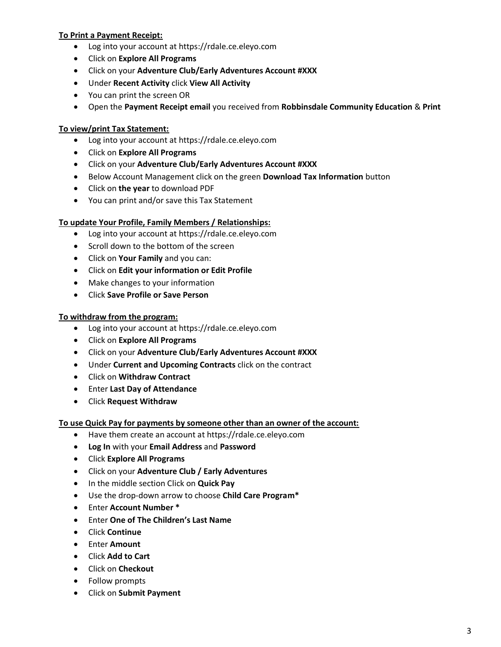## **To Print a Payment Receipt:**

- Log into your account at https://rdale.ce.eleyo.com
- Click on **Explore All Programs**
- Click on your **Adventure Club/Early Adventures Account #XXX**
- Under **Recent Activity** click **View All Activity**
- You can print the screen OR
- Open the **Payment Receipt email** you received from **Robbinsdale Community Education** & **Print**

### **To view/print Tax Statement:**

- Log into your account at https://rdale.ce.eleyo.com
- Click on **Explore All Programs**
- Click on your **Adventure Club/Early Adventures Account #XXX**
- Below Account Management click on the green **Download Tax Information** button
- Click on **the year** to download PDF
- You can print and/or save this Tax Statement

#### **To update Your Profile, Family Members / Relationships:**

- Log into your account at https://rdale.ce.eleyo.com
- Scroll down to the bottom of the screen
- Click on **Your Family** and you can:
- Click on **Edit your information or Edit Profile**
- Make changes to your information
- Click **Save Profile or Save Person**

#### **To withdraw from the program:**

- Log into your account at https://rdale.ce.eleyo.com
- Click on **Explore All Programs**
- Click on your **Adventure Club/Early Adventures Account #XXX**
- Under **Current and Upcoming Contracts** click on the contract
- Click on **Withdraw Contract**
- Enter **Last Day of Attendance**
- Click **Request Withdraw**

#### **To use Quick Pay for payments by someone other than an owner of the account:**

- Have them create an account at https://rdale.ce.eleyo.com
- **Log In** with your **Email Address** and **Password**
- Click **Explore All Programs**
- Click on your **Adventure Club / Early Adventures**
- In the middle section Click on **Quick Pay**
- Use the drop-down arrow to choose **Child Care Program\***
- Enter **Account Number \***
- Enter **One of The Children's Last Name**
- Click **Continue**
- Enter **Amount**
- Click **Add to Cart**
- Click on **Checkout**
- Follow prompts
- Click on **Submit Payment**